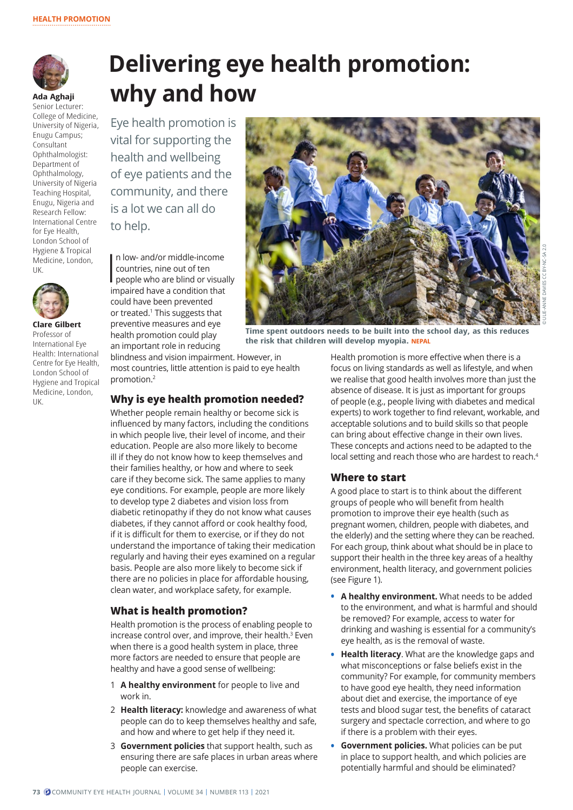

**Ada Aghaji** Senior Lecturer: College of Medicine, University of Nigeria, Enugu Campus; Consultant Ophthalmologist: Department of Ophthalmology, University of Nigeria Teaching Hospital, Enugu, Nigeria and Research Fellow: International Centre for Eye Health, London School of Hygiene & Tropical Medicine, London, UK.



**Clare Gilbert**  Professor of International Eye Health: International Centre for Eye Health, London School of Hygiene and Tropical Medicine, London, UK.

# **Delivering eye health promotion: why and how**

Eye health promotion is vital for supporting the health and wellbeing of eye patients and the community, and there is a lot we can all do to help.

 $\prod_{i=1}^n$ n low- and/or middle-income countries, nine out of ten people who are blind or visually impaired have a condition that could have been prevented or treated.<sup>1</sup> This suggests that preventive measures and eye health promotion could play an important role in reducing

blindness and vision impairment. However, in most countries, little attention is paid to eye health promotion.<sup>2</sup>

## **Why is eye health promotion needed?**

Whether people remain healthy or become sick is influenced by many factors, including the conditions in which people live, their level of income, and their education. People are also more likely to become ill if they do not know how to keep themselves and their families healthy, or how and where to seek care if they become sick. The same applies to many eye conditions. For example, people are more likely to develop type 2 diabetes and vision loss from diabetic retinopathy if they do not know what causes diabetes, if they cannot afford or cook healthy food, if it is difficult for them to exercise, or if they do not understand the importance of taking their medication regularly and having their eyes examined on a regular basis. People are also more likely to become sick if there are no policies in place for affordable housing, clean water, and workplace safety, for example.

## **What is health promotion?**

Health promotion is the process of enabling people to increase control over, and improve, their health.<sup>3</sup> Even when there is a good health system in place, three more factors are needed to ensure that people are healthy and have a good sense of wellbeing:

- 1 **A healthy environment** for people to live and work in.
- 2 **Health literacy:** knowledge and awareness of what people can do to keep themselves healthy and safe, and how and where to get help if they need it.
- 3 **Government policies** that support health, such as ensuring there are safe places in urban areas where people can exercise.



**Time spent outdoors needs to be built into the school day, as this reduces the risk that children will develop myopia. NEPAL**

Health promotion is more effective when there is a focus on living standards as well as lifestyle, and when we realise that good health involves more than just the absence of disease. It is just as important for groups of people (e.g., people living with diabetes and medical experts) to work together to find relevant, workable, and acceptable solutions and to build skills so that people can bring about effective change in their own lives. These concepts and actions need to be adapted to the local setting and reach those who are hardest to reach.<sup>4</sup>

## **Where to start**

A good place to start is to think about the different groups of people who will benefit from health promotion to improve their eye health (such as pregnant women, children, people with diabetes, and the elderly) and the setting where they can be reached. For each group, think about what should be in place to support their health in the three key areas of a healthy environment, health literacy, and government policies (see Figure 1).

- **• A healthy environment.** What needs to be added to the environment, and what is harmful and should be removed? For example, access to water for drinking and washing is essential for a community's eye health, as is the removal of waste.
- **• Health literacy**. What are the knowledge gaps and what misconceptions or false beliefs exist in the community? For example, for community members to have good eye health, they need information about diet and exercise, the importance of eye tests and blood sugar test, the benefits of cataract surgery and spectacle correction, and where to go if there is a problem with their eyes.
- **• Government policies.** What policies can be put in place to support health, and which policies are potentially harmful and should be eliminated?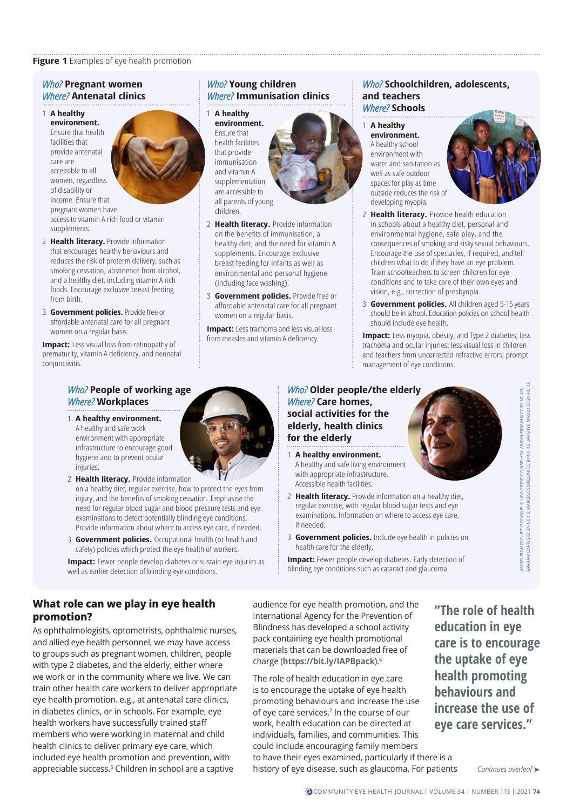#### **Figure 1** Examples of eye health promotion

#### *Who?* **Pregnant women** *Where?* **Antenatal clinics**

#### 1 **A healthy environment.**

Ensure that health facilities that provide antenatal care are accessible to all women, regardless of disability or income. Ensure that pregnant women have access to vitamin A rich food or vitamin supplements.

- 2 **Health literacy.** Provide information that encourages healthy behaviours and reduces the risk of preterm delivery, such as smoking cessation, abstinence from alcohol, and a healthy diet, including vitamin A rich foods. Encourage exclusive breast feeding from birth.
- 3 **Government policies.** Provide free or affordable antenatal care for all pregnant women on a regular basis.

**Impact:** Less visual loss from retinopathy of prematurity, vitamin A deficiency, and neonatal conjunctivitis.

# *Who?* **Young children** *Where?* **Immunisation clinics**

#### 1 **A healthy**

**environment.**  Ensure that health facilities that provide immunisation and vitamin A supplementation are accessible to all parents of young children.



- 2 **Health literacy.** Provide information on the benefits of immunisation, a healthy diet, and the need for vitamin A supplements. Encourage exclusive breast feeding for infants as well as environmental and personal hygiene (including face washing).
- 3 **Government policies.** Provide free or affordable antenatal care for all pregnant women on a regular basis.

**Impact:** Less trachoma and less visual loss from measles and vitamin A deficiency.

#### *Who?* **Schoolchildren, adolescents, and teachers** *Where?* **Schools**

1 **A healthy environment.** A healthy school environment with water and sanitation as well as safe outdoor spaces for play as time outside reduces the risk of developing myopia.



- 2 **Health literacy.** Provide health education in schools about a healthy diet, personal and environmental hygiene, safe play, and the consequences of smoking and risky sexual behaviours. Encourage the use of spectacles, if required, and tell children what to do if they have an eye problem. Train schoolteachers to screen children for eye conditions and to take care of their own eyes and vision, e.g., correction of presbyopia.
- 3 **Government policies.** All children aged 5-15 years should be in school. Education policies on school health should include eye health.

**Impact:** Less myopia, obesity, and Type 2 diabetes; less trachoma and ocular injuries; less visual loss in children and teachers from uncorrected refractive errors; prompt management of eye conditions.

# *Who?* **People of working age** *Where?* **Workplaces**

- 1 **A healthy environment.** A healthy and safe work environment with appropriate infrastructure to encourage good hygiene and to prevent ocular injuries.
- 2 **Health literacy.** Provide information on a healthy diet, regular exercise, how to protect the eyes from injury, and the benefits of smoking cessation. Emphasise the need for regular blood sugar and blood pressure tests and eye examinations to detect potentially blinding eye conditions. Provide information about where to access eye care, if needed.
- 3 **Government policies.** Occupational health (or health and safety) policies which protect the eye health of workers.
- **Impact:** Fewer people develop diabetes or sustain eye injuries as well as earlier detection of blinding eye conditions.

*Who?* **Older people/the elderly** *Where?* **Care homes, social activities for the elderly, health clinics for the elderly**

- 1 **A healthy environment.** A healthy and safe living environment with appropriate infrastructure. Accessible health facilities.
- 2 **Health literacy.** Provide information on a healthy diet, regular exercise, with regular blood sugar tests and eye examinations. Information on where to access eye care, if needed.
- 3 **Government policies.** Include eye health in policies on health care for the elderly.

**Impact:** Fewer people develop diabetes. Early detection of

GRAHAM COATES [CC BY-NC 4.0;](https://creativecommons.org/licenses/by-nc/4.0/) MARCELO SCHELLINI [CC BY-NC 4.0;](https://creativecommons.org/licenses/by-nc/4.0/) JAMSHYD MASUD [CC BY-NC 4.0](https://creativecommons.org/licenses/by-nc/4.0/) GES FROM TOP LEFT CLOCKWISE: © LICIA PETRESC/UNSPLASH; ABIDIN ERNA/HKI CC BY-NC 4.0;<br>HANN COATES CC BY-NC 4.0; MARCELO SCHELLINI CC BY-NC 4.0; JAMSHYD MASUD CC BY-NC 4. *IMAGES FROM TOP LEFT CLOCKWISE*: © LICIA PETRESC/UNSPLASH; ABIDIN ERNA/HKI [CC BY-NC 4.0](https://creativecommons.org/licenses/by-nc/4.0/); IMMGES<sub>F</sub>

blinding eye conditions such as cataract and glaucoma.

# **What role can we play in eye health promotion?**

As ophthalmologists, optometrists, ophthalmic nurses, and allied eye health personnel, we may have access to groups such as pregnant women, children, people with type 2 diabetes, and the elderly, either where we work or in the community where we live. We can train other health care workers to deliver appropriate eye health promotion. e.g., at antenatal care clinics, in diabetes clinics, or in schools. For example, eye health workers have successfully trained staff members who were working in maternal and child health clinics to deliver primary eye care, which included eye health promotion and prevention, with appreciable success.5 Children in school are a captive

audience for eye health promotion, and the International Agency for the Prevention of Blindness has developed a school activity pack containing eye health promotional materials that can be downloaded free of charge (**<https://bit.ly/IAPBpack>**).6

The role of health education in eye care is to encourage the uptake of eye health promoting behaviours and increase the use of eye care services.7 In the course of our work, health education can be directed at individuals, families, and communities. This could include encouraging family members to have their eyes examined, particularly if there is a history of eye disease, such as glaucoma. For patients

**"The role of health education in eye care is to encourage the uptake of eye health promoting behaviours and increase the use of eye care services."**

*Continues overleaf* ➤